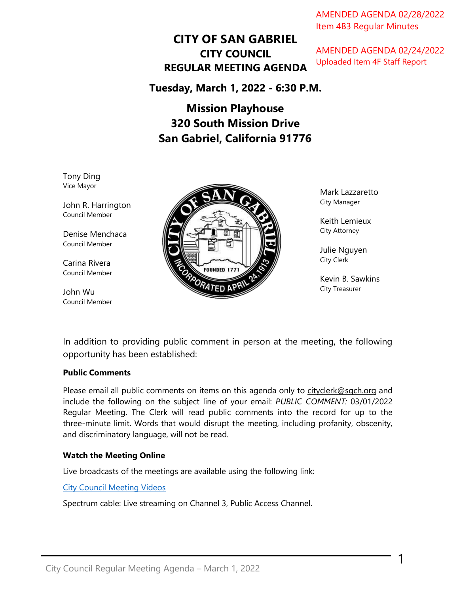j AMENDED AGENDA 02/28/2022 Item 4B3 Regular Minutes

# **CITY OF SAN GABRIEL CITY COUNCIL REGULAR MEETING AGENDA**

AMENDED AGENDA 02/24/2022 Uploaded Item 4F Staff Report

**Tuesday, March 1, 2022 - 6:30 P.M.**

# **Mission Playhouse 320 South Mission Drive San Gabriel, California 91776**

Tony Ding Vice Mayor

John R. Harrington Council Member

Denise Menchaca Council Member

Carina Rivera Council Member

John Wu Council Member



Mark Lazzaretto City Manager

Keith Lemieux City Attorney

Julie Nguyen City Clerk

Kevin B. Sawkins City Treasurer

1

In addition to providing public comment in person at the meeting, the following opportunity has been established:

### **Public Comments**

Please email all public comments on items on this agenda only to [cityclerk@sgch.org](mailto:cityclerk@sgch.org) and include the following on the subject line of your email: *PUBLIC COMMENT:* 03/01/2022 Regular Meeting. The Clerk will read public comments into the record for up to the three-minute limit. Words that would disrupt the meeting, including profanity, obscenity, and discriminatory language, will not be read.

#### **Watch the Meeting Online**

Live broadcasts of the meetings are available using the following link:

[City Council Meeting Videos](https://www.youtube.com/CityofSanGabriel)

Spectrum cable: Live streaming on Channel 3, Public Access Channel.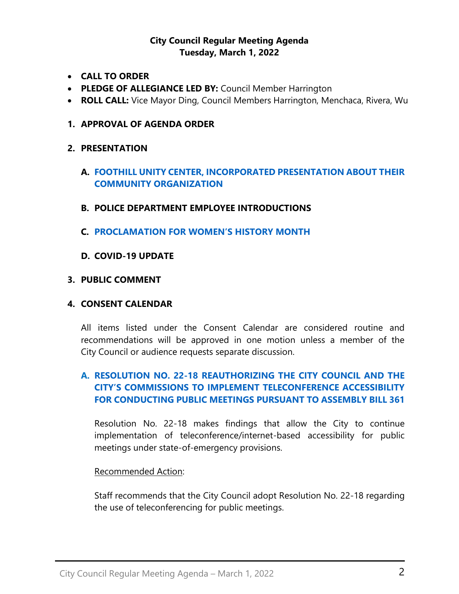# **City Council Regular Meeting Agenda Tuesday, March 1, 2022**

- **CALL TO ORDER**
- **PLEDGE OF ALLEGIANCE LED BY:** Council Member Harrington
- **ROLL CALL:** Vice Mayor Ding, Council Members Harrington, Menchaca, Rivera, Wu
- **1. APPROVAL OF AGENDA ORDER**

# **2. PRESENTATION**

- **A. [FOOTHILL UNITY CENTER, INCORPORATED PRESENTATION ABOUT THEIR](https://www.sangabrielcity.com/DocumentCenter/View/16173/Item-2A)  [COMMUNITY ORGANIZATION](https://www.sangabrielcity.com/DocumentCenter/View/16173/Item-2A)**
- **B. POLICE DEPARTMENT EMPLOYEE INTRODUCTIONS**
- **C. PROCLAMATION FOR [WOMEN'S HISTORY MONTH](https://www.sangabrielcity.com/DocumentCenter/View/16155/Item-2C---Proclamation-for-Womens-History-Month)**
- **D. COVID-19 UPDATE**

## **3. PUBLIC COMMENT**

#### **4. CONSENT CALENDAR**

All items listed under the Consent Calendar are considered routine and recommendations will be approved in one motion unless a member of the City Council or audience requests separate discussion.

# **A. [RESOLUTION NO. 22-18 REAUTHORIZING THE CITY COUNCIL AND THE](https://www.sangabrielcity.com/DocumentCenter/View/16161/Item-4A---2022-03-01-AB-361-Teleconference-Findings)  [CITY'S COMMISSIONS TO IMPLEMENT TELECONFERENCE ACCESSIBILITY](https://www.sangabrielcity.com/DocumentCenter/View/16161/Item-4A---2022-03-01-AB-361-Teleconference-Findings)  [FOR CONDUCTING PUBLIC MEETINGS PURSUANT TO ASSEMBLY BILL 361](https://www.sangabrielcity.com/DocumentCenter/View/16161/Item-4A---2022-03-01-AB-361-Teleconference-Findings)**

Resolution No. 22-18 makes findings that allow the City to continue implementation of teleconference/internet-based accessibility for public meetings under state-of-emergency provisions.

## Recommended Action:

Staff recommends that the City Council adopt Resolution No. 22-18 regarding the use of teleconferencing for public meetings.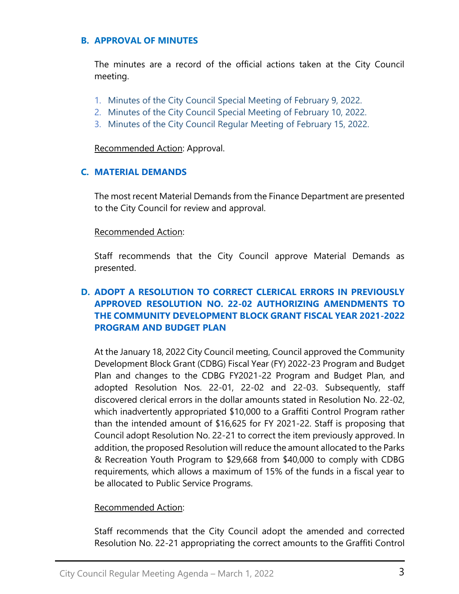#### **B. APPROVAL OF MINUTES**

The minutes are a record of the official actions taken at the City Council meeting.

- 1. [Minutes of the City Council Special](https://www.sangabrielcity.com/DocumentCenter/View/16158/Item-4B1---2022-02-09-Minutes---Special) Meeting of February 9, 2022.
- 2. [Minutes of the City Council Special Meeting of February 10, 2022.](https://www.sangabrielcity.com/DocumentCenter/View/16156/Item-4B2---2022-02-10-Minutes---Special)
- 3. [Minutes of the City Council Regular Meeting of February 15, 2022.](https://www.sangabrielcity.com/DocumentCenter/View/16157/Item-4B3---2022-02-15-Minutes---Regular)

Recommended Action: Approval.

# **C. [MATERIAL DEMANDS](https://www.sangabrielcity.com/DocumentCenter/View/16079/Item-4B--Material-Demands)**

The most recent Material Demands from the Finance Department are presented to the City Council for review and approval.

## Recommended Action:

Staff recommends that the City Council approve Material Demands as presented.

# **D. [ADOPT A RESOLUTION TO CORRECT CLERICAL ERRORS IN PREVIOUSLY](https://www.sangabrielcity.com/DocumentCenter/View/16133/Item-4D---Adopt-Res-No-22-02-Authorizing-Amendments-to-CDBG-2021-22-Program-and-Budget-Plan)  [APPROVED RESOLUTION NO. 22-02 AUTHORIZING AMENDMENTS TO](https://www.sangabrielcity.com/DocumentCenter/View/16133/Item-4D---Adopt-Res-No-22-02-Authorizing-Amendments-to-CDBG-2021-22-Program-and-Budget-Plan)  [THE COMMUNITY DEVELOPMENT BLOCK GRANT](https://www.sangabrielcity.com/DocumentCenter/View/16133/Item-4D---Adopt-Res-No-22-02-Authorizing-Amendments-to-CDBG-2021-22-Program-and-Budget-Plan) FISCAL YEAR 2021-2022 [PROGRAM AND BUDGET PLAN](https://www.sangabrielcity.com/DocumentCenter/View/16133/Item-4D---Adopt-Res-No-22-02-Authorizing-Amendments-to-CDBG-2021-22-Program-and-Budget-Plan)**

At the January 18, 2022 City Council meeting, Council approved the Community Development Block Grant (CDBG) Fiscal Year (FY) 2022-23 Program and Budget Plan and changes to the CDBG FY2021-22 Program and Budget Plan, and adopted Resolution Nos. 22-01, 22-02 and 22-03. Subsequently, staff discovered clerical errors in the dollar amounts stated in Resolution No. 22-02, which inadvertently appropriated \$10,000 to a Graffiti Control Program rather than the intended amount of \$16,625 for FY 2021-22. Staff is proposing that Council adopt Resolution No. 22-21 to correct the item previously approved. In addition, the proposed Resolution will reduce the amount allocated to the Parks & Recreation Youth Program to \$29,668 from \$40,000 to comply with CDBG requirements, which allows a maximum of 15% of the funds in a fiscal year to be allocated to Public Service Programs.

## Recommended Action:

Staff recommends that the City Council adopt the amended and corrected Resolution No. 22-21 appropriating the correct amounts to the Graffiti Control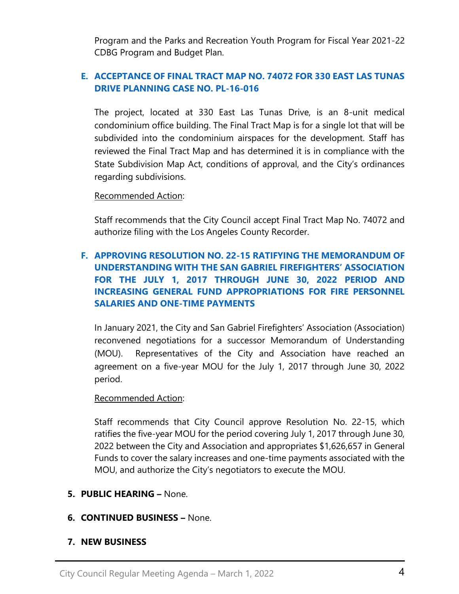Program and the Parks and Recreation Youth Program for Fiscal Year 2021-22 CDBG Program and Budget Plan.

# **E. [ACCEPTANCE OF FINAL TRACT MAP NO. 74072 FOR 330 EAST LAS TUNAS](https://www.sangabrielcity.com/DocumentCenter/View/16134/Item-4E---Acceptance-of-Final-Tract-Map-No-74072-for-330-E-Las-Tunas-Drive)  [DRIVE PLANNING CASE NO. PL-16-016](https://www.sangabrielcity.com/DocumentCenter/View/16134/Item-4E---Acceptance-of-Final-Tract-Map-No-74072-for-330-E-Las-Tunas-Drive)**

The project, located at 330 East Las Tunas Drive, is an 8-unit medical condominium office building. The Final Tract Map is for a single lot that will be subdivided into the condominium airspaces for the development. Staff has reviewed the Final Tract Map and has determined it is in compliance with the State Subdivision Map Act, conditions of approval, and the City's ordinances regarding subdivisions.

#### Recommended Action:

Staff recommends that the City Council accept Final Tract Map No. 74072 and authorize filing with the Los Angeles County Recorder.

# **F. [APPROVING RESOLUTION NO. 22-15 RATIFYING THE MEMORANDUM OF](https://www.sangabrielcity.com/DocumentCenter/View/16167/Item-4F---Approving-Reso-No-22-15-Ratifying-the-MOU-with-the-San-Gabriel-Firefighters-Association)  [UNDERSTANDING WITH THE SAN GABRIEL FIREFIGHTERS' ASSOCIATION](https://www.sangabrielcity.com/DocumentCenter/View/16167/Item-4F---Approving-Reso-No-22-15-Ratifying-the-MOU-with-the-San-Gabriel-Firefighters-Association)  [FOR THE JULY 1, 2017 THROUGH JUNE 30, 2022 PERIOD AND](https://www.sangabrielcity.com/DocumentCenter/View/16167/Item-4F---Approving-Reso-No-22-15-Ratifying-the-MOU-with-the-San-Gabriel-Firefighters-Association)  [INCREASING GENERAL FUND APPROPRIATIONS FOR FIRE PERSONNEL](https://www.sangabrielcity.com/DocumentCenter/View/16167/Item-4F---Approving-Reso-No-22-15-Ratifying-the-MOU-with-the-San-Gabriel-Firefighters-Association)  [SALARIES AND ONE-TIME PAYMENTS](https://www.sangabrielcity.com/DocumentCenter/View/16167/Item-4F---Approving-Reso-No-22-15-Ratifying-the-MOU-with-the-San-Gabriel-Firefighters-Association)**

In January 2021, the City and San Gabriel Firefighters' Association (Association) reconvened negotiations for a successor Memorandum of Understanding (MOU). Representatives of the City and Association have reached an agreement on a five-year MOU for the July 1, 2017 through June 30, 2022 period.

#### Recommended Action:

Staff recommends that City Council approve Resolution No. 22-15, which ratifies the five-year MOU for the period covering July 1, 2017 through June 30, 2022 between the City and Association and appropriates \$1,626,657 in General Funds to cover the salary increases and one-time payments associated with the MOU, and authorize the City's negotiators to execute the MOU.

**5. PUBLIC HEARING –** None.

## **6. CONTINUED BUSINESS –** None.

## **7. NEW BUSINESS**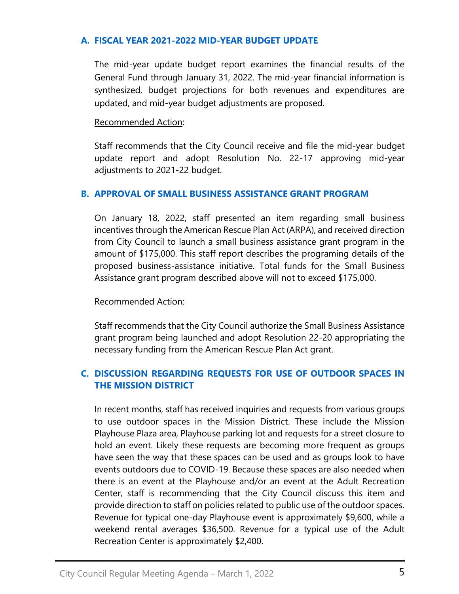### **A. [FISCAL YEAR 2021-2022 MID-YEAR BUDGET UPDATE](https://www.sangabrielcity.com/DocumentCenter/View/16135/Item-7A---Fiscal-Year-2021-22-Mid-Year-Budget-Update)**

The mid-year update budget report examines the financial results of the General Fund through January 31, 2022. The mid-year financial information is synthesized, budget projections for both revenues and expenditures are updated, and mid-year budget adjustments are proposed.

#### Recommended Action:

Staff recommends that the City Council receive and file the mid-year budget update report and adopt Resolution No. 22-17 approving mid-year adjustments to 2021-22 budget.

## **B. APPROVAL OF [SMALL BUSINESS ASSISTANCE GRANT PROGRAM](https://www.sangabrielcity.com/DocumentCenter/View/16152/Item-7B---Approval-of-the-Small-Business-Assistance-Grant-Program)**

On January 18, 2022, staff presented an item regarding small business incentives through the American Rescue Plan Act (ARPA), and received direction from City Council to launch a small business assistance grant program in the amount of \$175,000. This staff report describes the programing details of the proposed business-assistance initiative. Total funds for the Small Business Assistance grant program described above will not to exceed \$175,000.

#### Recommended Action:

Staff recommends that the City Council authorize the Small Business Assistance grant program being launched and adopt Resolution 22-20 appropriating the necessary funding from the American Rescue Plan Act grant.

# **C. [DISCUSSION REGARDING REQUESTS FOR USE OF OUTDOOR SPACES IN](https://www.sangabrielcity.com/DocumentCenter/View/16136/Item-7C---Discussion-Regarding-Requests-for-Use-of-Outdoor-Spaces-in-Mission-District)  [THE MISSION DISTRICT](https://www.sangabrielcity.com/DocumentCenter/View/16136/Item-7C---Discussion-Regarding-Requests-for-Use-of-Outdoor-Spaces-in-Mission-District)**

In recent months, staff has received inquiries and requests from various groups to use outdoor spaces in the Mission District. These include the Mission Playhouse Plaza area, Playhouse parking lot and requests for a street closure to hold an event. Likely these requests are becoming more frequent as groups have seen the way that these spaces can be used and as groups look to have events outdoors due to COVID-19. Because these spaces are also needed when there is an event at the Playhouse and/or an event at the Adult Recreation Center, staff is recommending that the City Council discuss this item and provide direction to staff on policies related to public use of the outdoor spaces. Revenue for typical one-day Playhouse event is approximately \$9,600, while a weekend rental averages \$36,500. Revenue for a typical use of the Adult Recreation Center is approximately \$2,400.